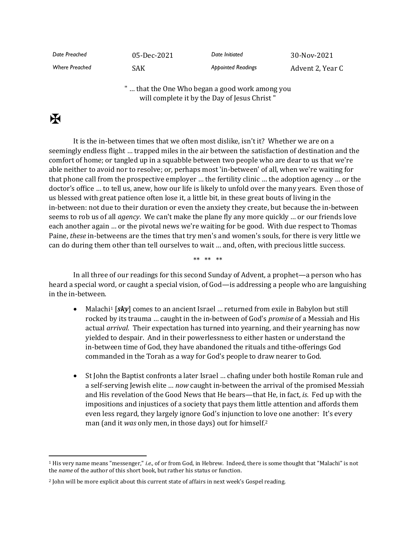| Date Preached         | 05-Dec-2021 | Date Initiated            | 30-Nov-2021      |
|-----------------------|-------------|---------------------------|------------------|
| <b>Where Preached</b> | SAK         | <b>Appointed Readings</b> | Advent 2, Year C |

" … that the One Who began a good work among you will complete it by the Day of Jesus Christ "

## $\mathbf F$

It is the in-between times that we often most dislike, isn't it? Whether we are on a seemingly endless flight … trapped miles in the air between the satisfaction of destination and the comfort of home; or tangled up in a squabble between two people who are dear to us that we're able neither to avoid nor to resolve; or, perhaps most 'in-between' of all, when we're waiting for that phone call from the prospective employer … the fertility clinic … the adoption agency … or the doctor's office … to tell us, anew, how our life is likely to unfold over the many years. Even those of us blessed with great patience often lose it, a little bit, in these great bouts of living in the in-between: not due to their duration or even the anxiety they create, but because the in-between seems to rob us of all *agency*. We can't make the plane fly any more quickly … or our friends love each another again … or the pivotal news we're waiting for be good. With due respect to Thomas Paine, *these* in-betweens are the times that try men's and women's souls, for there is very little we can do during them other than tell ourselves to wait … and, often, with precious little success.

\*\* \*\* \*\*

In all three of our readings for this second Sunday of Advent, a prophet—a person who has heard a special word, or caught a special vision, of God—is addressing a people who are languishing in the in-between.

- Malachi<sup>1</sup> [*sky*] comes to an ancient Israel ... returned from exile in Babylon but still rocked by its trauma … caught in the in-between of God's *promise* of a Messiah and His actual *arrival*. Their expectation has turned into yearning, and their yearning has now yielded to despair. And in their powerlessness to either hasten or understand the in-between time of God, they have abandoned the rituals and tithe-offerings God commanded in the Torah as a way for God's people to draw nearer to God.
- St John the Baptist confronts a later Israel … chafing under both hostile Roman rule and a self-serving Jewish elite … *now* caught in-between the arrival of the promised Messiah and His revelation of the Good News that He bears—that He, in fact, *is*. Fed up with the impositions and injustices of a society that pays them little attention and affords them even less regard, they largely ignore God's injunction to love one another: It's every man (and it *was* only men, in those days) out for himself.<sup>2</sup>

<sup>1</sup> His very name means "messenger," *i.e.,* of or from God, in Hebrew. Indeed, there is some thought that "Malachi" is not the *name* of the author of this short book, but rather his status or function.

<sup>&</sup>lt;sup>2</sup> John will be more explicit about this current state of affairs in next week's Gospel reading.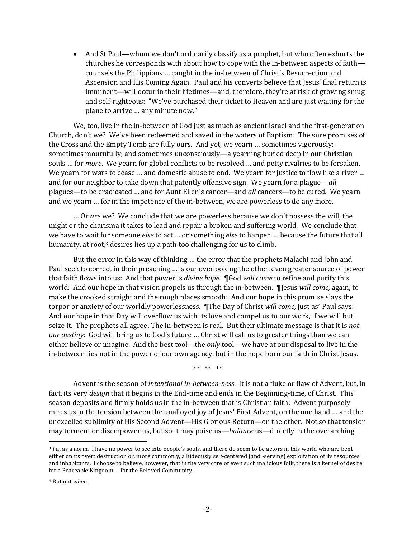• And St Paul—whom we don't ordinarily classify as a prophet, but who often exhorts the churches he corresponds with about how to cope with the in-between aspects of faith counsels the Philippians … caught in the in-between of Christ's Resurrection and Ascension and His Coming Again. Paul and his converts believe that Jesus' final return is imminent—will occur in their lifetimes—and, therefore, they're at risk of growing smug and self-righteous: "We've purchased their ticket to Heaven and are just waiting for the plane to arrive … any minute now."

We, too, live in the in-between of God just as much as ancient Israel and the first-generation Church, don't we? We've been redeemed and saved in the waters of Baptism: The sure promises of the Cross and the Empty Tomb are fully ours. And yet, we yearn … sometimes vigorously; sometimes mournfully; and sometimes unconsciously—a yearning buried deep in our Christian souls … for *more*. We yearn for global conflicts to be resolved … and petty rivalries to be forsaken. We yearn for wars to cease ... and domestic abuse to end. We yearn for justice to flow like a river ... and for our neighbor to take down that patently offensive sign. We yearn for a plague—*all* plagues—to be eradicated … and for Aunt Ellen's cancer—and *all* cancers—to be cured. We yearn and we yearn … for in the impotence of the in-between, we are powerless to do any more.

… Or *are* we? We conclude that we are powerless because we don't possess the will, the might or the charisma it takes to lead and repair a broken and suffering world. We conclude that we have to wait for someone *else* to act … or something *else* to happen … because the future that all humanity, at root,<sup>3</sup> desires lies up a path too challenging for us to climb.

But the error in this way of thinking … the error that the prophets Malachi and John and Paul seek to correct in their preaching … is our overlooking the other, even greater source of power that faith flows into us: And that power is *divine hope*. ¶God *will come* to refine and purify this world: And our hope in that vision propels us through the in-between. ¶Jesus *will come,* again, to make the crooked straight and the rough places smooth: And our hope in this promise slays the torpor or anxiety of our worldly powerlessness. ¶The Day of Christ *will come,* just as<sup>4</sup> Paul says: And our hope in that Day will overflow us with its love and compel us to our work, if we will but seize it. The prophets all agree: The in-between is real. But their ultimate message is that it is *not our destiny:* God will bring us to God's future … Christ will call us to greater things than we can either believe or imagine. And the best tool—the *only* tool—we have at our disposal to live in the in-between lies not in the power of our own agency, but in the hope born our faith in Christ Jesus.

\*\* \*\* \*\*

Advent is the season of *intentional in-between-ness*. It is not a fluke or flaw of Advent, but, in fact, its very *design* that it begins in the End-time and ends in the Beginning-time, of Christ. This season deposits and firmly holds us in the in-between that is Christian faith: Advent purposely mires us in the tension between the unalloyed joy of Jesus' First Advent, on the one hand … and the unexcelled sublimity of His Second Advent—His Glorious Return—on the other. Not so that tension may torment or disempower us, but so it may poise us—*balance* us—directly in the overarching

<sup>3</sup> *I.e.,* as a norm. I have no power to see into people's souls, and there do seem to be actors in this world who are bent either on its overt destruction or, more commonly, a hideously self-centered (and -serving) exploitation of its resources and inhabitants. I choose to believe, however, that in the very core of even such malicious folk, there is a kernel of desire for a Peaceable Kingdom … for the Beloved Community.

<sup>4</sup> But not *when*.